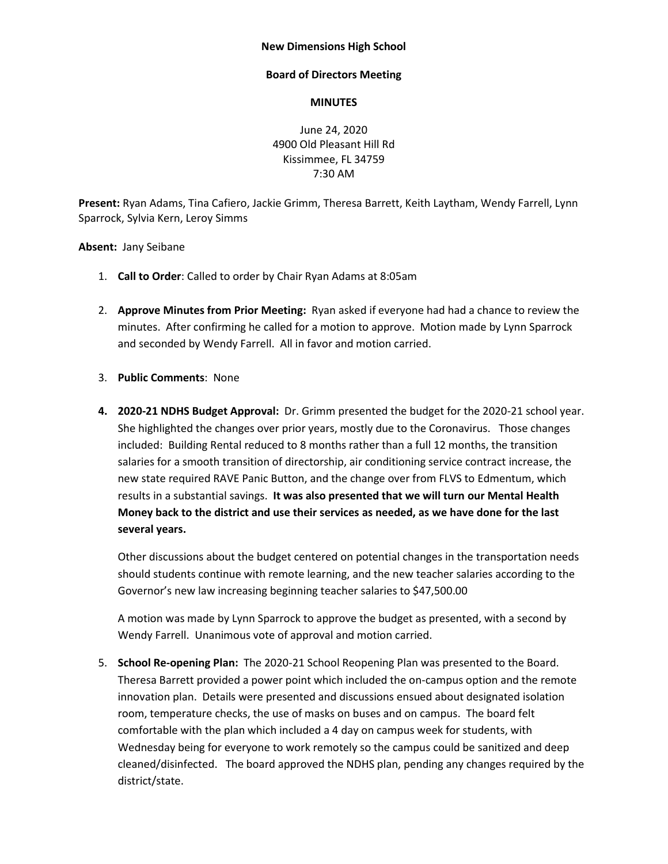## **New Dimensions High School**

## **Board of Directors Meeting**

## **MINUTES**

June 24, 2020 4900 Old Pleasant Hill Rd Kissimmee, FL 34759 7:30 AM

**Present:** Ryan Adams, Tina Cafiero, Jackie Grimm, Theresa Barrett, Keith Laytham, Wendy Farrell, Lynn Sparrock, Sylvia Kern, Leroy Simms

**Absent:** Jany Seibane

- 1. **Call to Order**: Called to order by Chair Ryan Adams at 8:05am
- 2. **Approve Minutes from Prior Meeting:** Ryan asked if everyone had had a chance to review the minutes. After confirming he called for a motion to approve. Motion made by Lynn Sparrock and seconded by Wendy Farrell. All in favor and motion carried.
- 3. **Public Comments**: None
- **4. 2020-21 NDHS Budget Approval:** Dr. Grimm presented the budget for the 2020-21 school year. She highlighted the changes over prior years, mostly due to the Coronavirus. Those changes included: Building Rental reduced to 8 months rather than a full 12 months, the transition salaries for a smooth transition of directorship, air conditioning service contract increase, the new state required RAVE Panic Button, and the change over from FLVS to Edmentum, which results in a substantial savings. **It was also presented that we will turn our Mental Health Money back to the district and use their services as needed, as we have done for the last several years.**

Other discussions about the budget centered on potential changes in the transportation needs should students continue with remote learning, and the new teacher salaries according to the Governor's new law increasing beginning teacher salaries to \$47,500.00

A motion was made by Lynn Sparrock to approve the budget as presented, with a second by Wendy Farrell. Unanimous vote of approval and motion carried.

5. **School Re-opening Plan:** The 2020-21 School Reopening Plan was presented to the Board. Theresa Barrett provided a power point which included the on-campus option and the remote innovation plan. Details were presented and discussions ensued about designated isolation room, temperature checks, the use of masks on buses and on campus. The board felt comfortable with the plan which included a 4 day on campus week for students, with Wednesday being for everyone to work remotely so the campus could be sanitized and deep cleaned/disinfected. The board approved the NDHS plan, pending any changes required by the district/state.